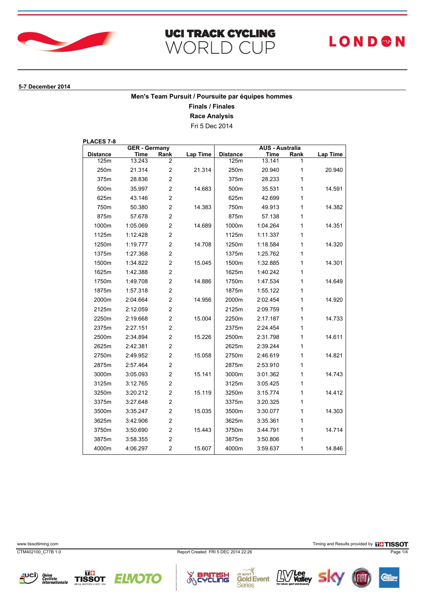

# **UCI TRACK CYCLING** WORLD CUP

# **LOND®N**

#### **5-7 December 2014**

## **Men's Team Pursuit / Poursuite par équipes hommes**

**Finals / Finales**

**Race Analysis**

Fri 5 Dec 2014

**PLACES 7-8**

| <b>GER</b> - Germany |          |                         | <b>AUS - Australia</b> |                 |          |      |                 |
|----------------------|----------|-------------------------|------------------------|-----------------|----------|------|-----------------|
| <b>Distance</b>      | Time     | Rank                    | <b>Lap Time</b>        | <b>Distance</b> | Time     | Rank | <b>Lap Time</b> |
| 125m                 | 13.243   | 2                       |                        | 125m            | 13.141   | 1    |                 |
| 250m                 | 21.314   | $\overline{c}$          | 21.314                 | 250m            | 20.940   | 1    | 20.940          |
| 375m                 | 28.836   | $\overline{c}$          |                        | 375m            | 28.233   | 1    |                 |
| 500m                 | 35.997   | $\overline{c}$          | 14.683                 | 500m            | 35.531   | 1    | 14.591          |
| 625m                 | 43.146   | $\overline{\mathbf{c}}$ |                        | 625m            | 42.699   | 1    |                 |
| 750m                 | 50.380   | $\overline{2}$          | 14.383                 | 750m            | 49.913   | 1    | 14.382          |
| 875m                 | 57.678   | $\overline{\mathbf{c}}$ |                        | 875m            | 57.138   | 1    |                 |
| 1000m                | 1:05.069 | $\overline{c}$          | 14.689                 | 1000m           | 1:04.264 | 1    | 14.351          |
| 1125m                | 1:12.428 | $\overline{2}$          |                        | 1125m           | 1:11.337 | 1    |                 |
| 1250m                | 1:19.777 | $\overline{c}$          | 14.708                 | 1250m           | 1:18.584 | 1    | 14.320          |
| 1375m                | 1:27.368 | $\overline{c}$          |                        | 1375m           | 1:25.762 | 1    |                 |
| 1500m                | 1:34.822 | $\overline{2}$          | 15.045                 | 1500m           | 1:32.885 | 1    | 14.301          |
| 1625m                | 1:42.388 | $\overline{\mathbf{c}}$ |                        | 1625m           | 1:40.242 | 1    |                 |
| 1750m                | 1:49.708 | $\overline{2}$          | 14.886                 | 1750m           | 1:47.534 | 1    | 14.649          |
| 1875m                | 1:57.318 | $\overline{2}$          |                        | 1875m           | 1:55.122 | 1    |                 |
| 2000m                | 2:04.664 | $\overline{c}$          | 14.956                 | 2000m           | 2:02.454 | 1    | 14.920          |
| 2125m                | 2:12.059 | $\overline{c}$          |                        | 2125m           | 2:09.759 | 1    |                 |
| 2250m                | 2:19.668 | $\overline{2}$          | 15.004                 | 2250m           | 2:17.187 | 1    | 14.733          |
| 2375m                | 2:27.151 | $\overline{c}$          |                        | 2375m           | 2:24.454 | 1    |                 |
| 2500m                | 2:34.894 | $\overline{c}$          | 15.226                 | 2500m           | 2:31.798 | 1    | 14.611          |
| 2625m                | 2:42.381 | $\overline{c}$          |                        | 2625m           | 2:39.244 | 1    |                 |
| 2750m                | 2:49.952 | $\overline{2}$          | 15.058                 | 2750m           | 2:46.619 | 1    | 14.821          |
| 2875m                | 2:57.464 | $\overline{c}$          |                        | 2875m           | 2:53.910 | 1    |                 |
| 3000m                | 3:05.093 | $\overline{c}$          | 15.141                 | 3000m           | 3:01.362 | 1    | 14.743          |
| 3125m                | 3:12.765 | $\overline{c}$          |                        | 3125m           | 3:05.425 | 1    |                 |
| 3250m                | 3:20.212 | $\overline{2}$          | 15.119                 | 3250m           | 3:15.774 | 1    | 14.412          |
| 3375m                | 3:27.648 | $\overline{c}$          |                        | 3375m           | 3:20.325 | 1    |                 |
| 3500m                | 3:35.247 | $\overline{c}$          | 15.035                 | 3500m           | 3:30.077 | 1    | 14.303          |
| 3625m                | 3:42.906 | $\overline{\mathbf{c}}$ |                        | 3625m           | 3:35.361 | 1    |                 |
| 3750m                | 3:50.690 | $\overline{c}$          | 15.443                 | 3750m           | 3:44.791 | 1    | 14.714          |
| 3875m                | 3:58.355 | $\overline{c}$          |                        | 3875m           | 3:50.806 | 1    |                 |
| 4000m                | 4:06.297 | $\overline{c}$          | 15.607                 | 4000m           | 3:59.637 | 1    | 14.846          |

www.tissottiming.com **Timing and Results provided by FINSOT** 

CTM402100\_C77B 1.0 Report Created FRI 5 DEC 2014 22:26 Page 1/4

**Series** 







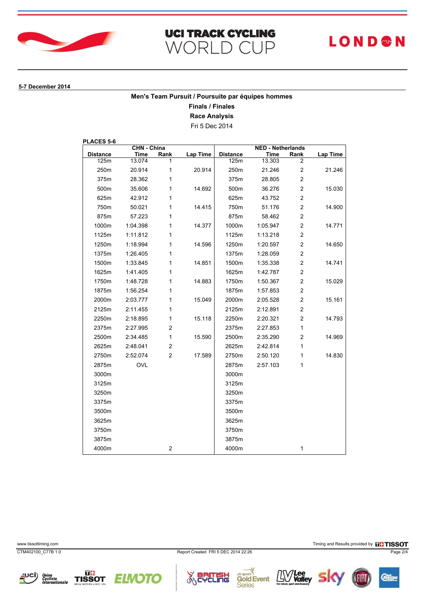

# **UCI TRACK CYCLING** WORLD CUP

# **LOND®N**

#### **5-7 December 2014**

## **Men's Team Pursuit / Poursuite par équipes hommes**

**Finals / Finales**

**Race Analysis**

Fri 5 Dec 2014

**PLACES 5-6**

| <b>CHN - China</b> |          |                | <b>NED - Netherlands</b> |                 |          |                         |          |
|--------------------|----------|----------------|--------------------------|-----------------|----------|-------------------------|----------|
| <b>Distance</b>    | Time     | Rank           | Lap Time                 | <b>Distance</b> | Time     | Rank                    | Lap Time |
| 125m               | 13.074   |                |                          | 125m            | 13.303   | 2                       |          |
| 250m               | 20.914   | 1              | 20.914                   | 250m            | 21.246   | 2                       | 21.246   |
| 375m               | 28.362   | 1              |                          | 375m            | 28.805   | $\overline{c}$          |          |
| 500m               | 35.606   | 1              | 14.692                   | 500m            | 36.276   | $\overline{c}$          | 15.030   |
| 625m               | 42.912   | 1              |                          | 625m            | 43.752   | $\overline{c}$          |          |
| 750m               | 50.021   | 1              | 14.415                   | 750m            | 51.176   | $\overline{c}$          | 14.900   |
| 875m               | 57.223   | 1              |                          | 875m            | 58.462   | $\overline{c}$          |          |
| 1000m              | 1:04.398 | 1              | 14.377                   | 1000m           | 1:05.947 | $\overline{c}$          | 14.771   |
| 1125m              | 1:11.812 | 1              |                          | 1125m           | 1:13.218 | $\overline{c}$          |          |
| 1250m              | 1:18.994 | 1              | 14.596                   | 1250m           | 1:20.597 | $\overline{c}$          | 14.650   |
| 1375m              | 1:26.405 | 1              |                          | 1375m           | 1:28.059 | $\overline{c}$          |          |
| 1500m              | 1:33.845 | 1              | 14.851                   | 1500m           | 1:35.338 | $\overline{c}$          | 14.741   |
| 1625m              | 1:41.405 | 1              |                          | 1625m           | 1:42.787 | $\overline{\mathbf{c}}$ |          |
| 1750m              | 1:48.728 | 1              | 14.883                   | 1750m           | 1:50.367 | $\overline{c}$          | 15.029   |
| 1875m              | 1:56.254 | 1              |                          | 1875m           | 1:57.853 | $\overline{c}$          |          |
| 2000m              | 2:03.777 | 1              | 15.049                   | 2000m           | 2:05.528 | $\overline{c}$          | 15.161   |
| 2125m              | 2:11.455 | 1              |                          | 2125m           | 2:12.891 | $\overline{c}$          |          |
| 2250m              | 2:18.895 | 1              | 15.118                   | 2250m           | 2:20.321 | $\overline{c}$          | 14.793   |
| 2375m              | 2:27.995 | $\overline{c}$ |                          | 2375m           | 2:27.853 | 1                       |          |
| 2500m              | 2:34.485 | $\mathbf{1}$   | 15.590                   | 2500m           | 2:35.290 | $\overline{c}$          | 14.969   |
| 2625m              | 2:48.041 | $\overline{c}$ |                          | 2625m           | 2:42.814 | 1                       |          |
| 2750m              | 2:52.074 | $\overline{2}$ | 17.589                   | 2750m           | 2:50.120 | 1                       | 14.830   |
| 2875m              | OVL      |                |                          | 2875m           | 2:57.103 | 1                       |          |
| 3000m              |          |                |                          | 3000m           |          |                         |          |
| 3125m              |          |                |                          | 3125m           |          |                         |          |
| 3250m              |          |                |                          | 3250m           |          |                         |          |
| 3375m              |          |                |                          | 3375m           |          |                         |          |
| 3500m              |          |                |                          | 3500m           |          |                         |          |
| 3625m              |          |                |                          | 3625m           |          |                         |          |
| 3750m              |          |                |                          | 3750m           |          |                         |          |
| 3875m              |          |                |                          | 3875m           |          |                         |          |
| 4000m              |          | $\overline{c}$ |                          | 4000m           |          | 1                       |          |

www.tissottiming.com **Timing and Results provided by FINSOT** 



CTM402100\_C77B 1.0 Report Created FRI 5 DEC 2014 22:26 Page 2/4

**Series** 







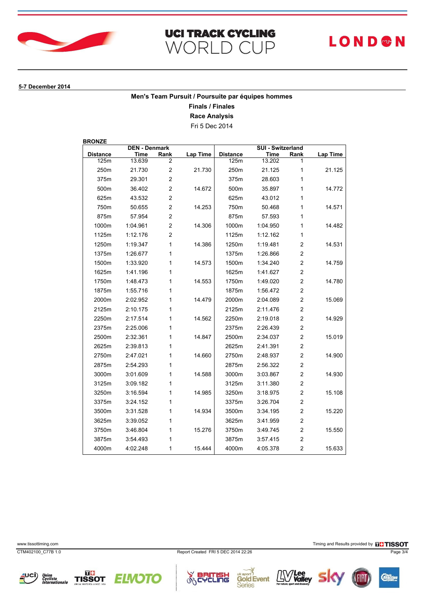

#### **5-7 December 2014**

## **Men's Team Pursuit / Poursuite par équipes hommes**

**Finals / Finales**

**Race Analysis**

Fri 5 Dec 2014

**BRONZE**

| <b>DEN - Denmark</b> |          |                         | SUI - Switzerland |                 |          |                         |                 |
|----------------------|----------|-------------------------|-------------------|-----------------|----------|-------------------------|-----------------|
| <b>Distance</b>      | Time     | Rank                    | Lap Time          | <b>Distance</b> | Time     | Rank                    | <b>Lap Time</b> |
| 125m                 | 13.639   | 2                       |                   | 125m            | 13.202   |                         |                 |
| 250m                 | 21.730   | $\overline{\mathbf{c}}$ | 21.730            | 250m            | 21.125   | 1                       | 21.125          |
| 375m                 | 29.301   | $\overline{c}$          |                   | 375m            | 28.603   | 1                       |                 |
| 500m                 | 36.402   | $\overline{\mathbf{c}}$ | 14.672            | 500m            | 35.897   | 1                       | 14.772          |
| 625m                 | 43.532   | $\overline{\mathbf{c}}$ |                   | 625m            | 43.012   | 1                       |                 |
| 750m                 | 50.655   | $\overline{c}$          | 14.253            | 750m            | 50.468   | 1                       | 14.571          |
| 875m                 | 57.954   | $\overline{c}$          |                   | 875m            | 57.593   | 1                       |                 |
| 1000m                | 1:04.961 | $\overline{c}$          | 14.306            | 1000m           | 1:04.950 | 1                       | 14.482          |
| 1125m                | 1:12.176 | $\overline{c}$          |                   | 1125m           | 1:12.162 | 1                       |                 |
| 1250m                | 1:19.347 | $\mathbf{1}$            | 14.386            | 1250m           | 1:19.481 | $\overline{2}$          | 14.531          |
| 1375m                | 1:26.677 | 1                       |                   | 1375m           | 1:26.866 | 2                       |                 |
| 1500m                | 1:33.920 | 1                       | 14.573            | 1500m           | 1:34.240 | $\overline{c}$          | 14.759          |
| 1625m                | 1:41.196 | $\mathbf{1}$            |                   | 1625m           | 1:41.627 | $\overline{c}$          |                 |
| 1750m                | 1:48.473 | 1                       | 14.553            | 1750m           | 1:49.020 | $\overline{2}$          | 14.780          |
| 1875m                | 1:55.716 | 1                       |                   | 1875m           | 1:56.472 | $\overline{\mathbf{c}}$ |                 |
| 2000m                | 2:02.952 | 1                       | 14479             | 2000m           | 2:04.089 | $\overline{c}$          | 15.069          |
| 2125m                | 2:10.175 | 1                       |                   | 2125m           | 2:11.476 | $\overline{2}$          |                 |
| 2250m                | 2:17.514 | 1                       | 14.562            | 2250m           | 2:19.018 | $\overline{2}$          | 14.929          |
| 2375m                | 2:25.006 | 1                       |                   | 2375m           | 2:26.439 | $\overline{2}$          |                 |
| 2500m                | 2:32.361 | 1                       | 14.847            | 2500m           | 2:34.037 | $\overline{c}$          | 15.019          |
| 2625m                | 2:39.813 | 1                       |                   | 2625m           | 2:41.391 | $\overline{c}$          |                 |
| 2750m                | 2:47.021 | 1                       | 14.660            | 2750m           | 2:48.937 | $\overline{c}$          | 14.900          |
| 2875m                | 2:54.293 | 1                       |                   | 2875m           | 2:56.322 | $\overline{\mathbf{c}}$ |                 |
| 3000m                | 3:01.609 | 1                       | 14.588            | 3000m           | 3:03.867 | $\overline{c}$          | 14.930          |
| 3125m                | 3:09.182 | 1                       |                   | 3125m           | 3:11.380 | $\overline{\mathbf{c}}$ |                 |
| 3250m                | 3:16.594 | 1                       | 14.985            | 3250m           | 3:18.975 | $\overline{c}$          | 15.108          |
| 3375m                | 3:24.152 | 1                       |                   | 3375m           | 3:26.704 | $\overline{2}$          |                 |
| 3500m                | 3:31.528 | 1                       | 14.934            | 3500m           | 3:34.195 | $\overline{c}$          | 15.220          |
| 3625m                | 3:39.052 | 1                       |                   | 3625m           | 3:41.959 | $\overline{\mathbf{c}}$ |                 |
| 3750m                | 3:46.804 | 1                       | 15.276            | 3750m           | 3:49.745 | $\overline{c}$          | 15.550          |
| 3875m                | 3:54.493 | 1                       |                   | 3875m           | 3:57.415 | $\overline{2}$          |                 |
| 4000m                | 4:02.248 | 1                       | 15.444            | 4000m           | 4:05.378 | $\overline{c}$          | 15.633          |

www.tissottiming.com **Timing and Results provided by FINSOT** 

CTM402100\_C77B 1.0 Report Created FRI 5 DEC 2014 22:26 Page 3/4